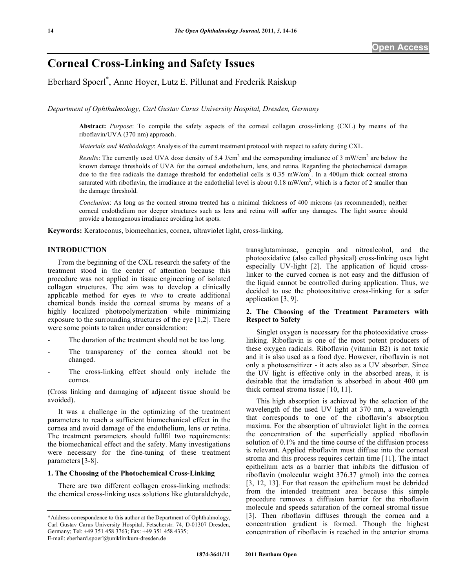# **Corneal Cross-Linking and Safety Issues**

Eberhard Spoerl\* , Anne Hoyer, Lutz E. Pillunat and Frederik Raiskup

*Department of Ophthalmology, Carl Gustav Carus University Hospital, Dresden, Germany* 

**Abstract:** *Purpose*: To compile the safety aspects of the corneal collagen cross-linking (CXL) by means of the riboflavin/UVA (370 nm) approach.

*Materials and Methodology*: Analysis of the current treatment protocol with respect to safety during CXL.

*Results*: The currently used UVA dose density of 5.4 J/cm<sup>2</sup> and the corresponding irradiance of 3 mW/cm<sup>2</sup> are below the known damage thresholds of UVA for the corneal endothelium, lens, and retina. Regarding the photochemical damages due to the free radicals the damage threshold for endothelial cells is  $0.35$  mW/cm<sup>2</sup>. In a 400 $\mu$ m thick corneal stroma saturated with riboflavin, the irradiance at the endothelial level is about 0.18 mW/cm<sup>2</sup>, which is a factor of 2 smaller than the damage threshold.

*Conclusion*: As long as the corneal stroma treated has a minimal thickness of 400 microns (as recommended), neither corneal endothelium nor deeper structures such as lens and retina will suffer any damages. The light source should provide a homogenous irradiance avoiding hot spots.

**Keywords:** Keratoconus, biomechanics, cornea, ultraviolet light, cross-linking.

## **INTRODUCTION**

 From the beginning of the CXL research the safety of the treatment stood in the center of attention because this procedure was not applied in tissue engineering of isolated collagen structures. The aim was to develop a clinically applicable method for eyes *in vivo* to create additional chemical bonds inside the corneal stroma by means of a highly localized photopolymerization while minimizing exposure to the surrounding structures of the eye [1,2]. There were some points to taken under consideration:

- The duration of the treatment should not be too long.
- The transparency of the cornea should not be changed.
- The cross-linking effect should only include the cornea.

(Cross linking and damaging of adjacent tissue should be avoided).

 It was a challenge in the optimizing of the treatment parameters to reach a sufficient biomechanical effect in the cornea and avoid damage of the endothelium, lens or retina. The treatment parameters should fullfil two requirements: the biomechanical effect and the safety. Many investigations were necessary for the fine-tuning of these treatment parameters [3-8].

## **1. The Choosing of the Photochemical Cross-Linking**

 There are two different collagen cross-linking methods: the chemical cross-linking uses solutions like glutaraldehyde, transglutaminase, genepin and nitroalcohol, and the photooxidative (also called physical) cross-linking uses light especially UV-light [2]. The application of liquid crosslinker to the curved cornea is not easy and the diffusion of the liquid cannot be controlled during application. Thus, we decided to use the photooxitative cross-linking for a safer application [3, 9].

## **2. The Choosing of the Treatment Parameters with Respect to Safety**

 Singlet oxygen is necessary for the photooxidative crosslinking. Riboflavin is one of the most potent producers of these oxygen radicals. Riboflavin (vitamin B2) is not toxic and it is also used as a food dye. However, riboflavin is not only a photosensitizer - it acts also as a UV absorber. Since the UV light is effective only in the absorbed areas, it is desirable that the irradiation is absorbed in about  $400 \mu m$ thick corneal stroma tissue [10, 11].

 This high absorption is achieved by the selection of the wavelength of the used UV light at 370 nm, a wavelength that corresponds to one of the riboflavin's absorption maxima. For the absorption of ultraviolet light in the cornea the concentration of the superficially applied riboflavin solution of 0.1% and the time course of the diffusion process is relevant. Applied riboflavin must diffuse into the corneal stroma and this process requires certain time [11]. The intact epithelium acts as a barrier that inhibits the diffusion of riboflavin (molecular weight 376.37 g/mol) into the cornea [3, 12, 13]. For that reason the epithelium must be debrided from the intended treatment area because this simple procedure removes a diffusion barrier for the riboflavin molecule and speeds saturation of the corneal stromal tissue [3]. Then riboflavin diffuses through the cornea and a concentration gradient is formed. Though the highest concentration of riboflavin is reached in the anterior stroma

<sup>\*</sup>Address correspondence to this author at the Department of Ophthalmology, Carl Gustav Carus University Hospital, Fetscherstr. 74, D-01307 Dresden, Germany; Tel: +49 351 458 3763; Fax: +49 351 458 4335; E-mail: eberhard.spoerl@uniklinikum-dresden.de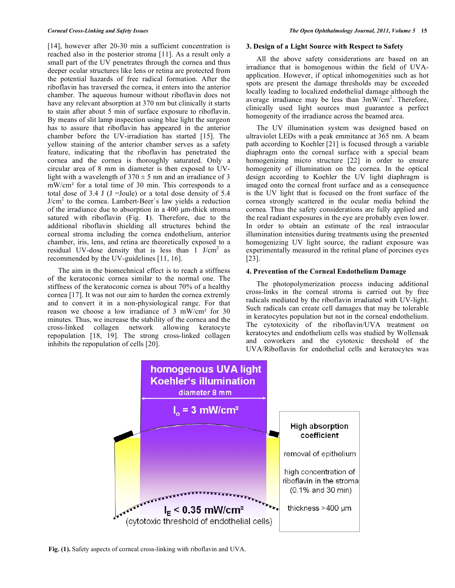[14], however after 20-30 min a sufficient concentration is reached also in the posterior stroma [11]. As a result only a small part of the UV penetrates through the cornea and thus deeper ocular structures like lens or retina are protected from the potential hazards of free radical formation. After the riboflavin has traversed the cornea, it enters into the anterior chamber. The aqueous humour without riboflavin does not have any relevant absorption at 370 nm but clinically it starts to stain after about 5 min of surface exposure to riboflavin. By means of slit lamp inspection using blue light the surgeon has to assure that riboflavin has appeared in the anterior chamber before the UV-irradiation has started [15]. The yellow staining of the anterior chamber serves as a safety feature, indicating that the riboflavin has penetrated the cornea and the cornea is thoroughly saturated. Only a circular area of 8 mm in diameter is then exposed to UVlight with a wavelength of  $370 \pm 5$  nm and an irradiance of 3  $mW/cm<sup>2</sup>$  for a total time of 30 min. This corresponds to a total dose of 3.4 J (J = Joule) or a total dose density of  $5.4$ J/cm<sup>2</sup> to the cornea. Lambert-Beer's law yields a reduction of the irradiance due to absorption in a 400 μm-thick stroma satured with riboflavin (Fig. **1**). Therefore, due to the additional riboflavin shielding all structures behind the corneal stroma including the cornea endothelium, anterior chamber, iris, lens, and retina are theoretically exposed to a residual UV-dose density that is less than  $1$  J/cm<sup>2</sup> as recommended by the UV-guidelines [11, 16].

 The aim in the biomechnical effect is to reach a stiffness of the keratoconic cornea similar to the normal one. The stiffness of the keratoconic cornea is about 70% of a healthy cornea [17]. It was not our aim to harden the cornea extremly and to convert it in a non-physiological range. For that reason we choose a low irradiance of  $3 \text{ mW/cm}^2$  for  $30 \text{ m}$ minutes. Thus, we increase the stability of the cornea and the cross-linked collagen network allowing keratocyte repopulation [18, 19]. The strong cross-linked collagen inhibits the repopulation of cells [20].

#### **3. Design of a Light Source with Respect to Safety**

 All the above safety considerations are based on an irradiance that is homogenous within the field of UVAapplication. However, if optical inhomogenities such as hot spots are present the damage thresholds may be exceeded locally leading to localized endothelial damage although the average irradiance may be less than  $3mW/cm<sup>2</sup>$ . Therefore, clinically used light sources must guarantee a perfect homogenity of the irradiance across the beamed area.

 The UV illumination system was designed based on ultraviolet LEDs with a peak emmitance at 365 nm. A beam path according to Koehler [21] is focused through a variable diaphragm onto the corneal surface with a special beam homogenizing micro structure [22] in order to ensure homogenity of illumination on the cornea. In the optical design according to Koehler the UV light diaphragm is imaged onto the corneal front surface and as a consequence is the UV light that is focused on the front surface of the cornea strongly scattered in the ocular media behind the cornea. Thus the safety considerations are fully applied and the real radiant exposures in the eye are probably even lower. In order to obtain an estimate of the real intraocular illumination intensities during treatments using the presented homogenizing UV light source, the radiant exposure was experimentally measured in the retinal plane of porcines eyes [23].

## **4. Prevention of the Corneal Endothelium Damage**

 The photopolymerization process inducing additional cross-links in the corneal stroma is carried out by free radicals mediated by the riboflavin irradiated with UV-light. Such radicals can create cell damages that may be tolerable in keratocytes population but not in the corneal endothelium. The cytotoxicity of the riboflavin/UVA treatment on keratocytes and endothelium cells was studied by Wollensak and coworkers and the cytotoxic threshold of the UVA/Riboflavin for endothelial cells and keratocytes was



**Fig. (1).** Safety aspects of corneal cross-linking with riboflavin and UVA.